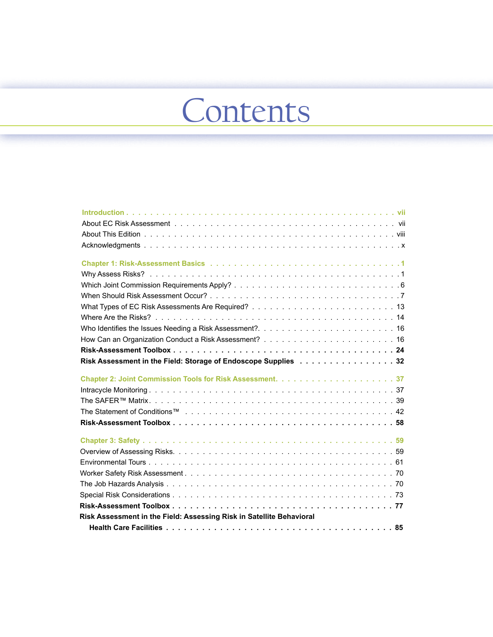## Contents

| Risk Assessment in the Field: Storage of Endoscope Supplies 32       |  |
|----------------------------------------------------------------------|--|
|                                                                      |  |
|                                                                      |  |
|                                                                      |  |
|                                                                      |  |
|                                                                      |  |
|                                                                      |  |
|                                                                      |  |
|                                                                      |  |
|                                                                      |  |
|                                                                      |  |
|                                                                      |  |
|                                                                      |  |
| Risk Assessment in the Field: Assessing Risk in Satellite Behavioral |  |
|                                                                      |  |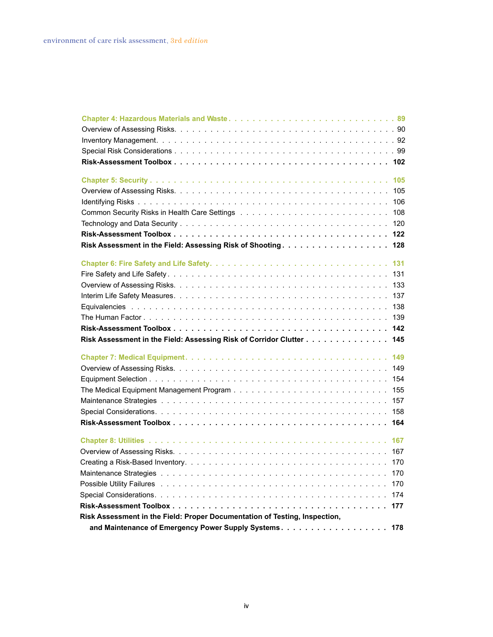| 105                                                                        |  |
|----------------------------------------------------------------------------|--|
| 105                                                                        |  |
| 106                                                                        |  |
| 108                                                                        |  |
| 120                                                                        |  |
| 122                                                                        |  |
| 128                                                                        |  |
| 131                                                                        |  |
| 131                                                                        |  |
| 133                                                                        |  |
| 137                                                                        |  |
| 138                                                                        |  |
| 139                                                                        |  |
| 142                                                                        |  |
| Risk Assessment in the Field: Assessing Risk of Corridor Clutter<br>145    |  |
| 149                                                                        |  |
|                                                                            |  |
| 149                                                                        |  |
| 154                                                                        |  |
| 155                                                                        |  |
| 157                                                                        |  |
| 158                                                                        |  |
| 164                                                                        |  |
| 167                                                                        |  |
| 167                                                                        |  |
| 170                                                                        |  |
| 170                                                                        |  |
| 170                                                                        |  |
| 174                                                                        |  |
| 177                                                                        |  |
| Risk Assessment in the Field: Proper Documentation of Testing, Inspection, |  |